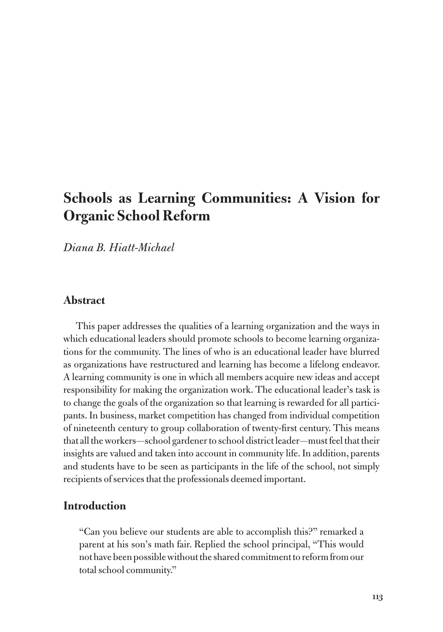# **Schools as Learning Communities: A Vision for Organic School Reform**

*Diana B. Hiatt-Michael*

#### **Abstract**

This paper addresses the qualities of a learning organization and the ways in which educational leaders should promote schools to become learning organizations for the community. The lines of who is an educational leader have blurred as organizations have restructured and learning has become a lifelong endeavor. A learning community is one in which all members acquire new ideas and accept responsibility for making the organization work. The educational leader's task is to change the goals of the organization so that learning is rewarded for all participants. In business, market competition has changed from individual competition of nineteenth century to group collaboration of twenty-first century. This means that all the workers—school gardener to school district leader—must feel that their insights are valued and taken into account in community life. In addition, parents and students have to be seen as participants in the life of the school, not simply recipients of services that the professionals deemed important.

# **Introduction**

"Can you believe our students are able to accomplish this?" remarked a parent at his son's math fair. Replied the school principal, "This would not have been possible without the shared commitment to reform from our total school community."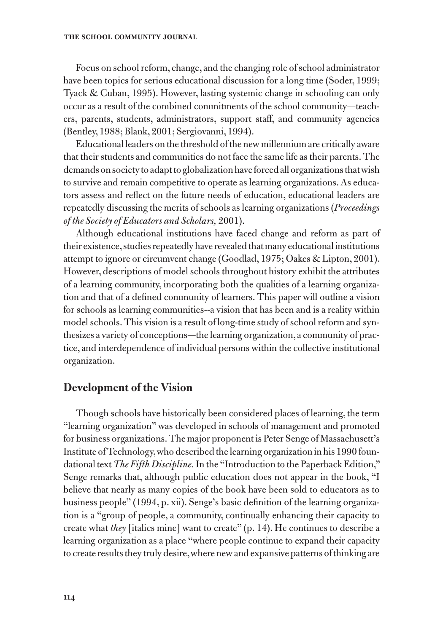Focus on school reform, change, and the changing role of school administrator have been topics for serious educational discussion for a long time (Soder, 1999; Tyack & Cuban, 1995). However, lasting systemic change in schooling can only occur as a result of the combined commitments of the school community—teachers, parents, students, administrators, support staff, and community agencies (Bentley, 1988; Blank, 2001; Sergiovanni, 1994).

Educational leaders on the threshold of the new millennium are critically aware that their students and communities do not face the same life as their parents. The demands on society to adapt to globalization have forced all organizations that wish to survive and remain competitive to operate as learning organizations. As educators assess and reflect on the future needs of education, educational leaders are repeatedly discussing the merits of schools as learning organizations (*Proceedings of the Society of Educators and Scholars,* 2001).

Although educational institutions have faced change and reform as part of their existence, studies repeatedly have revealed that many educational institutions attempt to ignore or circumvent change (Goodlad, 1975; Oakes & Lipton, 2001). However, descriptions of model schools throughout history exhibit the attributes of a learning community, incorporating both the qualities of a learning organization and that of a defined community of learners. This paper will outline a vision for schools as learning communities--a vision that has been and is a reality within model schools. This vision is a result of long-time study of school reform and synthesizes a variety of conceptions—the learning organization, a community of practice, and interdependence of individual persons within the collective institutional organization.

### **Development of the Vision**

Though schools have historically been considered places of learning, the term "learning organization" was developed in schools of management and promoted for business organizations. The major proponent is Peter Senge of Massachusett's Institute of Technology, who described the learning organization in his 1990 foundational text *The Fifth Discipline.* In the "Introduction to the Paperback Edition," Senge remarks that, although public education does not appear in the book, "I believe that nearly as many copies of the book have been sold to educators as to business people" (1994, p. xii). Senge's basic definition of the learning organization is a "group of people, a community, continually enhancing their capacity to create what *they* [italics mine] want to create" (p. 14). He continues to describe a learning organization as a place "where people continue to expand their capacity to create results they truly desire, where new and expansive patterns of thinking are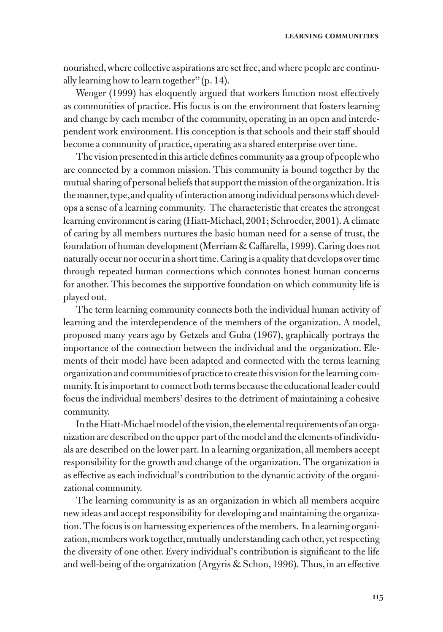nourished, where collective aspirations are set free, and where people are continually learning how to learn together" (p. 14).

Wenger (1999) has eloquently argued that workers function most effectively as communities of practice. His focus is on the environment that fosters learning and change by each member of the community, operating in an open and interdependent work environment. His conception is that schools and their staff should become a community of practice, operating as a shared enterprise over time.

The vision presented in this article defines community as a group of people who are connected by a common mission. This community is bound together by the mutual sharing of personal beliefs that support the mission of the organization. It is the manner, type, and quality of interaction among individual persons which develops a sense of a learning community. The characteristic that creates the strongest learning environment is caring (Hiatt-Michael, 2001; Schroeder, 2001). A climate of caring by all members nurtures the basic human need for a sense of trust, the foundation of human development (Merriam & Caffarella, 1999). Caring does not naturally occur nor occur in a short time. Caring is a quality that develops over time through repeated human connections which connotes honest human concerns for another. This becomes the supportive foundation on which community life is played out.

The term learning community connects both the individual human activity of learning and the interdependence of the members of the organization. A model, proposed many years ago by Getzels and Guba (1967), graphically portrays the importance of the connection between the individual and the organization. Elements of their model have been adapted and connected with the terms learning organization and communities of practice to create this vision for the learning community. It is important to connect both terms because the educational leader could focus the individual members' desires to the detriment of maintaining a cohesive community.

In the Hiatt-Michael model of the vision, the elemental requirements of an organization are described on the upper part of the model and the elements of individuals are described on the lower part. In a learning organization, all members accept responsibility for the growth and change of the organization. The organization is as effective as each individual's contribution to the dynamic activity of the organizational community.

The learning community is as an organization in which all members acquire new ideas and accept responsibility for developing and maintaining the organization. The focus is on harnessing experiences of the members. In a learning organization, members work together, mutually understanding each other, yet respecting the diversity of one other. Every individual's contribution is significant to the life and well-being of the organization (Argyris & Schon, 1996). Thus, in an effective

**115**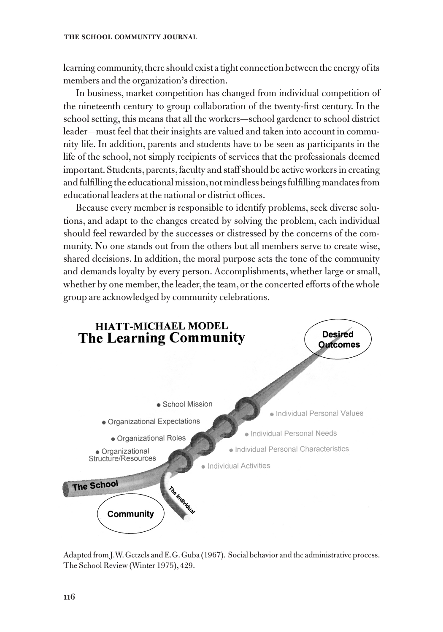learning community, there should exist a tight connection between the energy of its members and the organization's direction.

In business, market competition has changed from individual competition of the nineteenth century to group collaboration of the twenty-first century. In the school setting, this means that all the workers—school gardener to school district leader—must feel that their insights are valued and taken into account in community life. In addition, parents and students have to be seen as participants in the life of the school, not simply recipients of services that the professionals deemed important. Students, parents, faculty and staff should be active workers in creating and fulfilling the educational mission, not mindless beings fulfilling mandates from educational leaders at the national or district offices.

Because every member is responsible to identify problems, seek diverse solutions, and adapt to the changes created by solving the problem, each individual should feel rewarded by the successes or distressed by the concerns of the community. No one stands out from the others but all members serve to create wise, shared decisions. In addition, the moral purpose sets the tone of the community and demands loyalty by every person. Accomplishments, whether large or small, whether by one member, the leader, the team, or the concerted efforts of the whole group are acknowledged by community celebrations.



Adapted from J.W. Getzels and E.G. Guba (1967). Social behavior and the administrative process. The School Review (Winter 1975), 429.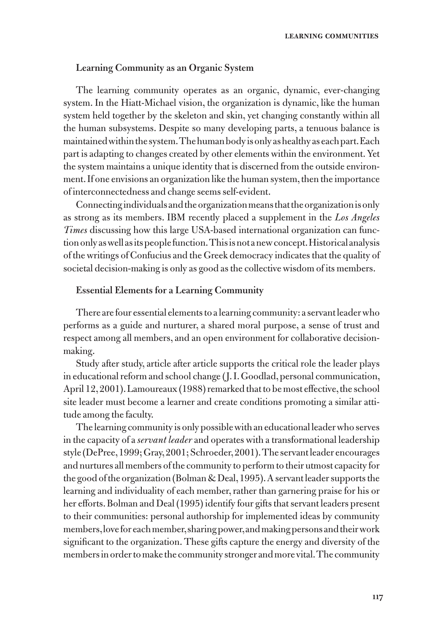#### **Learning Community as an Organic System**

The learning community operates as an organic, dynamic, ever-changing system. In the Hiatt-Michael vision, the organization is dynamic, like the human system held together by the skeleton and skin, yet changing constantly within all the human subsystems. Despite so many developing parts, a tenuous balance is maintained within the system. The human body is only as healthy as each part. Each part is adapting to changes created by other elements within the environment. Yet the system maintains a unique identity that is discerned from the outside environment. If one envisions an organization like the human system, then the importance of interconnectedness and change seems self-evident.

Connecting individuals and the organization means that the organization is only as strong as its members. IBM recently placed a supplement in the *Los Angeles Times* discussing how this large USA-based international organization can function only as well as its people function. This is not a new concept. Historical analysis of the writings of Confucius and the Greek democracy indicates that the quality of societal decision-making is only as good as the collective wisdom of its members.

#### **Essential Elements for a Learning Community**

There are four essential elements to a learning community: a servant leader who performs as a guide and nurturer, a shared moral purpose, a sense of trust and respect among all members, and an open environment for collaborative decisionmaking.

Study after study, article after article supports the critical role the leader plays in educational reform and school change (J. I. Goodlad, personal communication, April 12, 2001). Lamoureaux (1988) remarked that to be most effective, the school site leader must become a learner and create conditions promoting a similar attitude among the faculty.

The learning community is only possible with an educational leader who serves in the capacity of a *servant leader* and operates with a transformational leadership style (DePree, 1999; Gray, 2001; Schroeder, 2001). The servant leader encourages and nurtures all members of the community to perform to their utmost capacity for the good of the organization (Bolman & Deal, 1995). A servant leader supports the learning and individuality of each member, rather than garnering praise for his or her efforts. Bolman and Deal (1995) identify four gifts that servant leaders present to their communities: personal authorship for implemented ideas by community members, love for each member, sharing power, and making persons and their work significant to the organization. These gifts capture the energy and diversity of the members in order to make the community stronger and more vital. The community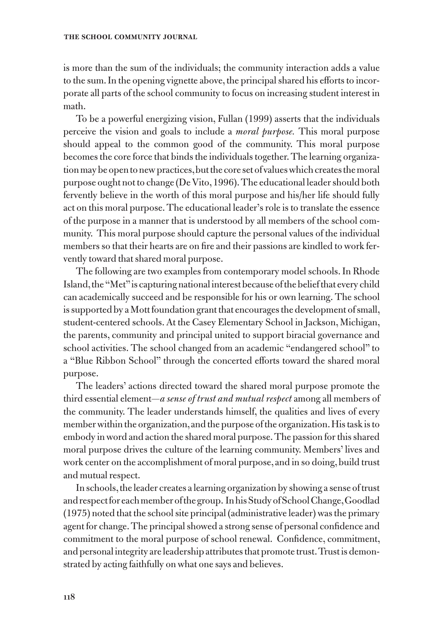#### **the school community journal**

is more than the sum of the individuals; the community interaction adds a value to the sum. In the opening vignette above, the principal shared his efforts to incorporate all parts of the school community to focus on increasing student interest in math.

To be a powerful energizing vision, Fullan (1999) asserts that the individuals perceive the vision and goals to include a *moral purpose.* This moral purpose should appeal to the common good of the community. This moral purpose becomes the core force that binds the individuals together. The learning organization may be open to new practices, but the core set of values which creates the moral purpose ought not to change (De Vito, 1996). The educational leader should both fervently believe in the worth of this moral purpose and his/her life should fully act on this moral purpose. The educational leader's role is to translate the essence of the purpose in a manner that is understood by all members of the school community. This moral purpose should capture the personal values of the individual members so that their hearts are on fire and their passions are kindled to work fervently toward that shared moral purpose.

The following are two examples from contemporary model schools. In Rhode Island, the "Met" is capturing national interest because of the belief that every child can academically succeed and be responsible for his or own learning. The school is supported by a Mott foundation grant that encourages the development of small, student-centered schools. At the Casey Elementary School in Jackson, Michigan, the parents, community and principal united to support biracial governance and school activities. The school changed from an academic "endangered school" to a "Blue Ribbon School" through the concerted efforts toward the shared moral purpose.

The leaders' actions directed toward the shared moral purpose promote the third essential element—*a sense of trust and mutual respect* among all members of the community. The leader understands himself, the qualities and lives of every member within the organization, and the purpose of the organization. His task is to embody in word and action the shared moral purpose. The passion for this shared moral purpose drives the culture of the learning community. Members' lives and work center on the accomplishment of moral purpose, and in so doing, build trust and mutual respect.

In schools, the leader creates a learning organization by showing a sense of trust and respect for each member of the group. In his Study of School Change, Goodlad (1975) noted that the school site principal (administrative leader) was the primary agent for change. The principal showed a strong sense of personal confidence and commitment to the moral purpose of school renewal. Confidence, commitment, and personal integrity are leadership attributes that promote trust. Trust is demonstrated by acting faithfully on what one says and believes.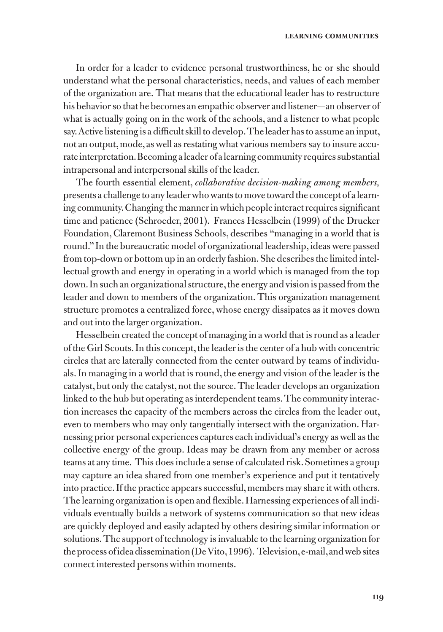In order for a leader to evidence personal trustworthiness, he or she should understand what the personal characteristics, needs, and values of each member of the organization are. That means that the educational leader has to restructure his behavior so that he becomes an empathic observer and listener—an observer of what is actually going on in the work of the schools, and a listener to what people say. Active listening is a difficult skill to develop. The leader has to assume an input, not an output, mode, as well as restating what various members say to insure accurate interpretation. Becoming a leader of a learning community requires substantial intrapersonal and interpersonal skills of the leader.

The fourth essential element, *collaborative decision-making among members,*  presents a challenge to any leader who wants to move toward the concept of a learning community. Changing the manner in which people interact requires significant time and patience (Schroeder, 2001). Frances Hesselbein (1999) of the Drucker Foundation, Claremont Business Schools, describes "managing in a world that is round." In the bureaucratic model of organizational leadership, ideas were passed from top-down or bottom up in an orderly fashion. She describes the limited intellectual growth and energy in operating in a world which is managed from the top down. In such an organizational structure, the energy and vision is passed from the leader and down to members of the organization. This organization management structure promotes a centralized force, whose energy dissipates as it moves down and out into the larger organization.

Hesselbein created the concept of managing in a world that is round as a leader of the Girl Scouts. In this concept, the leader is the center of a hub with concentric circles that are laterally connected from the center outward by teams of individuals. In managing in a world that is round, the energy and vision of the leader is the catalyst, but only the catalyst, not the source. The leader develops an organization linked to the hub but operating as interdependent teams. The community interaction increases the capacity of the members across the circles from the leader out, even to members who may only tangentially intersect with the organization. Harnessing prior personal experiences captures each individual's energy as well as the collective energy of the group. Ideas may be drawn from any member or across teams at any time. This does include a sense of calculated risk. Sometimes a group may capture an idea shared from one member's experience and put it tentatively into practice. If the practice appears successful, members may share it with others. The learning organization is open and flexible. Harnessing experiences of all individuals eventually builds a network of systems communication so that new ideas are quickly deployed and easily adapted by others desiring similar information or solutions. The support of technology is invaluable to the learning organization for the process of idea dissemination (De Vito, 1996). Television, e-mail, and web sites connect interested persons within moments.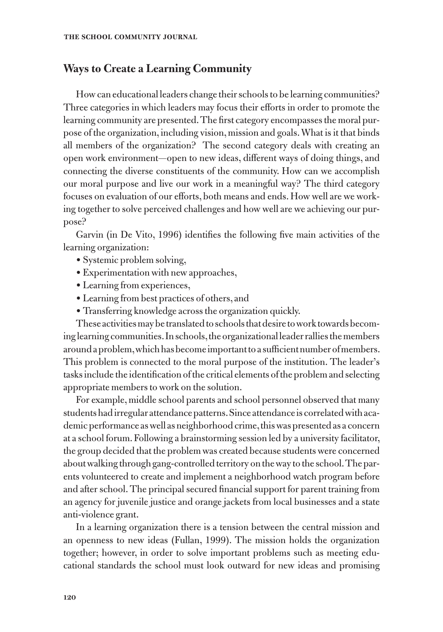# **Ways to Create a Learning Community**

How can educational leaders change their schools to be learning communities? Three categories in which leaders may focus their efforts in order to promote the learning community are presented. The first category encompasses the moral purpose of the organization, including vision, mission and goals. What is it that binds all members of the organization? The second category deals with creating an open work environment—open to new ideas, different ways of doing things, and connecting the diverse constituents of the community. How can we accomplish our moral purpose and live our work in a meaningful way? The third category focuses on evaluation of our efforts, both means and ends. How well are we working together to solve perceived challenges and how well are we achieving our purpose?

Garvin (in De Vito, 1996) identifies the following five main activities of the learning organization:

- Systemic problem solving,
- Experimentation with new approaches,
- Learning from experiences,
- Learning from best practices of others, and
- Transferring knowledge across the organization quickly.

These activities may be translated to schools that desire to work towards becoming learning communities. In schools, the organizational leader rallies the members around a problem, which has become important to a sufficient number of members. This problem is connected to the moral purpose of the institution. The leader's tasks include the identification of the critical elements of the problem and selecting appropriate members to work on the solution.

For example, middle school parents and school personnel observed that many students had irregular attendance patterns. Since attendance is correlated with academic performance as well as neighborhood crime, this was presented as a concern at a school forum. Following a brainstorming session led by a university facilitator, the group decided that the problem was created because students were concerned about walking through gang-controlled territory on the way to the school. The parents volunteered to create and implement a neighborhood watch program before and after school. The principal secured financial support for parent training from an agency for juvenile justice and orange jackets from local businesses and a state anti-violence grant.

In a learning organization there is a tension between the central mission and an openness to new ideas (Fullan, 1999). The mission holds the organization together; however, in order to solve important problems such as meeting educational standards the school must look outward for new ideas and promising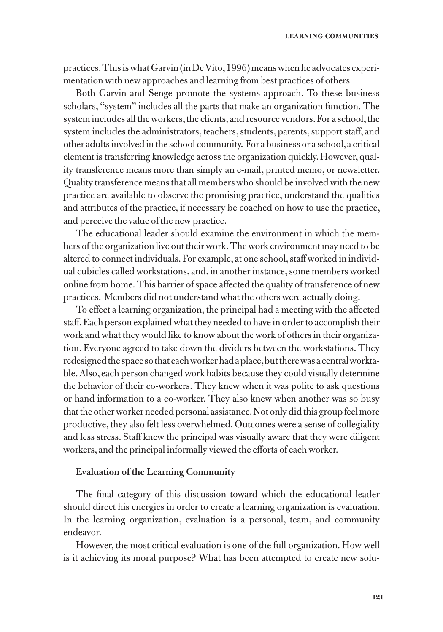practices. This is what Garvin (in De Vito, 1996) means when he advocates experimentation with new approaches and learning from best practices of others

Both Garvin and Senge promote the systems approach. To these business scholars, "system" includes all the parts that make an organization function. The system includes all the workers, the clients, and resource vendors. For a school, the system includes the administrators, teachers, students, parents, support staff, and other adults involved in the school community. For a business or a school, a critical element is transferring knowledge across the organization quickly. However, quality transference means more than simply an e-mail, printed memo, or newsletter. Quality transference means that all members who should be involved with the new practice are available to observe the promising practice, understand the qualities and attributes of the practice, if necessary be coached on how to use the practice, and perceive the value of the new practice.

The educational leader should examine the environment in which the members of the organization live out their work. The work environment may need to be altered to connect individuals. For example, at one school, staff worked in individual cubicles called workstations, and, in another instance, some members worked online from home. This barrier of space affected the quality of transference of new practices. Members did not understand what the others were actually doing.

To effect a learning organization, the principal had a meeting with the affected staff. Each person explained what they needed to have in order to accomplish their work and what they would like to know about the work of others in their organization. Everyone agreed to take down the dividers between the workstations. They redesigned the space so that each worker had a place, but there was a central worktable. Also, each person changed work habits because they could visually determine the behavior of their co-workers. They knew when it was polite to ask questions or hand information to a co-worker. They also knew when another was so busy that the other worker needed personal assistance. Not only did this group feel more productive, they also felt less overwhelmed. Outcomes were a sense of collegiality and less stress. Staff knew the principal was visually aware that they were diligent workers, and the principal informally viewed the efforts of each worker.

#### **Evaluation of the Learning Community**

The final category of this discussion toward which the educational leader should direct his energies in order to create a learning organization is evaluation. In the learning organization, evaluation is a personal, team, and community endeavor.

However, the most critical evaluation is one of the full organization. How well is it achieving its moral purpose? What has been attempted to create new solu-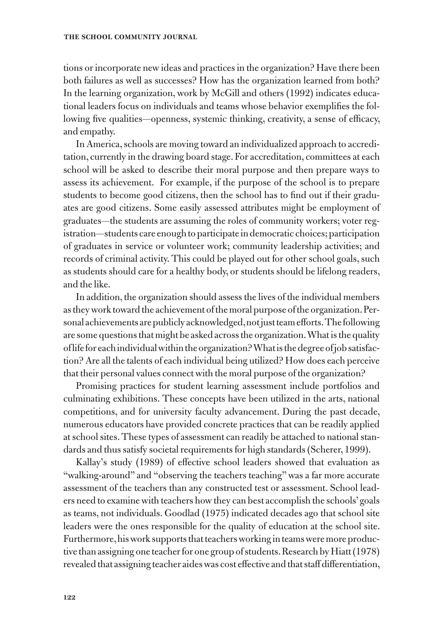#### **the school community journal**

tions or incorporate new ideas and practices in the organization? Have there been both failures as well as successes? How has the organization learned from both? In the learning organization, work by McGill and others (1992) indicates educational leaders focus on individuals and teams whose behavior exemplifies the following five qualities—openness, systemic thinking, creativity, a sense of efficacy, and empathy.

In America, schools are moving toward an individualized approach to accreditation, currently in the drawing board stage. For accreditation, committees at each school will be asked to describe their moral purpose and then prepare ways to assess its achievement. For example, if the purpose of the school is to prepare students to become good citizens, then the school has to find out if their graduates are good citizens. Some easily assessed attributes might be employment of graduates—the students are assuming the roles of community workers; voter registration—students care enough to participate in democratic choices; participation of graduates in service or volunteer work; community leadership activities; and records of criminal activity. This could be played out for other school goals, such as students should care for a healthy body, or students should be lifelong readers, and the like.

In addition, the organization should assess the lives of the individual members as they work toward the achievement of the moral purpose of the organization. Personal achievements are publicly acknowledged, not just team efforts. The following are some questions that might be asked across the organization. What is the quality of life for each individual within the organization? What is the degree of job satisfaction? Are all the talents of each individual being utilized? How does each perceive that their personal values connect with the moral purpose of the organization?

Promising practices for student learning assessment include portfolios and culminating exhibitions. These concepts have been utilized in the arts, national competitions, and for university faculty advancement. During the past decade, numerous educators have provided concrete practices that can be readily applied at school sites. These types of assessment can readily be attached to national standards and thus satisfy societal requirements for high standards (Scherer, 1999).

Kallay's study (1989) of effective school leaders showed that evaluation as "walking-around" and "observing the teachers teaching" was a far more accurate assessment of the teachers than any constructed test or assessment. School leaders need to examine with teachers how they can best accomplish the schools' goals as teams, not individuals. Goodlad (1975) indicated decades ago that school site leaders were the ones responsible for the quality of education at the school site. Furthermore, his work supports that teachers working in teams were more productive than assigning one teacher for one group of students. Research by Hiatt (1978) revealed that assigning teacher aides was cost effective and that staff differentiation,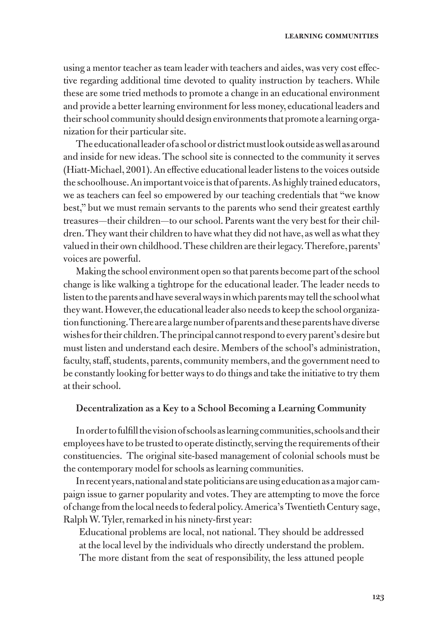using a mentor teacher as team leader with teachers and aides, was very cost effective regarding additional time devoted to quality instruction by teachers. While these are some tried methods to promote a change in an educational environment and provide a better learning environment for less money, educational leaders and their school community should design environments that promote a learning organization for their particular site.

The educational leader of a school or district must look outside as well as around and inside for new ideas. The school site is connected to the community it serves (Hiatt-Michael, 2001). An effective educational leader listens to the voices outside the schoolhouse. An important voice is that of parents. As highly trained educators, we as teachers can feel so empowered by our teaching credentials that "we know best," but we must remain servants to the parents who send their greatest earthly treasures—their children—to our school. Parents want the very best for their children. They want their children to have what they did not have, as well as what they valued in their own childhood. These children are their legacy. Therefore, parents' voices are powerful.

Making the school environment open so that parents become part of the school change is like walking a tightrope for the educational leader. The leader needs to listen to the parents and have several ways in which parents may tell the school what they want. However, the educational leader also needs to keep the school organization functioning. There are a large number of parents and these parents have diverse wishes for their children. The principal cannot respond to every parent's desire but must listen and understand each desire. Members of the school's administration, faculty, staff, students, parents, community members, and the government need to be constantly looking for better ways to do things and take the initiative to try them at their school.

#### **Decentralization as a Key to a School Becoming a Learning Community**

In order to fulfill the vision of schools as learning communities, schools and their employees have to be trusted to operate distinctly, serving the requirements of their constituencies. The original site-based management of colonial schools must be the contemporary model for schools as learning communities.

In recent years, national and state politicians are using education as a major campaign issue to garner popularity and votes. They are attempting to move the force of change from the local needs to federal policy. America's Twentieth Century sage, Ralph W. Tyler, remarked in his ninety-first year:

Educational problems are local, not national. They should be addressed at the local level by the individuals who directly understand the problem. The more distant from the seat of responsibility, the less attuned people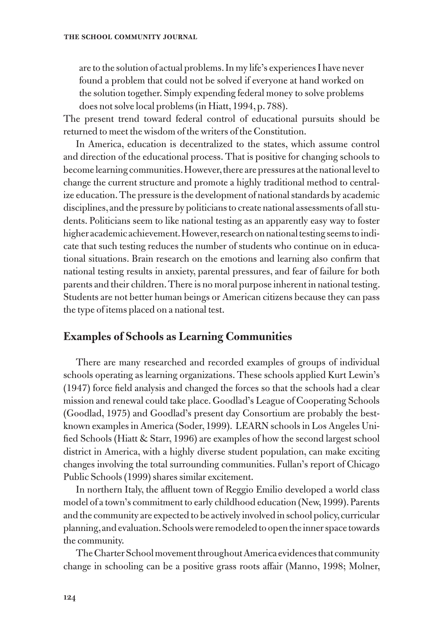are to the solution of actual problems. In my life's experiences I have never found a problem that could not be solved if everyone at hand worked on the solution together. Simply expending federal money to solve problems does not solve local problems (in Hiatt, 1994, p. 788).

The present trend toward federal control of educational pursuits should be returned to meet the wisdom of the writers of the Constitution.

In America, education is decentralized to the states, which assume control and direction of the educational process. That is positive for changing schools to become learning communities. However, there are pressures at the national level to change the current structure and promote a highly traditional method to centralize education. The pressure is the development of national standards by academic disciplines, and the pressure by politicians to create national assessments of all students. Politicians seem to like national testing as an apparently easy way to foster higher academic achievement. However, research on national testing seems to indicate that such testing reduces the number of students who continue on in educational situations. Brain research on the emotions and learning also confirm that national testing results in anxiety, parental pressures, and fear of failure for both parents and their children. There is no moral purpose inherent in national testing. Students are not better human beings or American citizens because they can pass the type of items placed on a national test.

# **Examples of Schools as Learning Communities**

There are many researched and recorded examples of groups of individual schools operating as learning organizations. These schools applied Kurt Lewin's (1947) force field analysis and changed the forces so that the schools had a clear mission and renewal could take place. Goodlad's League of Cooperating Schools (Goodlad, 1975) and Goodlad's present day Consortium are probably the bestknown examples in America (Soder, 1999). LEARN schools in Los Angeles Unified Schools (Hiatt & Starr, 1996) are examples of how the second largest school district in America, with a highly diverse student population, can make exciting changes involving the total surrounding communities. Fullan's report of Chicago Public Schools (1999) shares similar excitement.

In northern Italy, the affluent town of Reggio Emilio developed a world class model of a town's commitment to early childhood education (New, 1999). Parents and the community are expected to be actively involved in school policy, curricular planning, and evaluation. Schools were remodeled to open the inner space towards the community.

The Charter School movement throughout America evidences that community change in schooling can be a positive grass roots affair (Manno, 1998; Molner,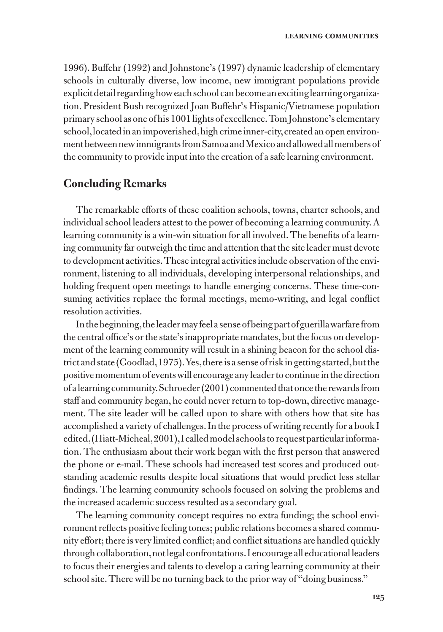1996). Buffehr (1992) and Johnstone's (1997) dynamic leadership of elementary schools in culturally diverse, low income, new immigrant populations provide explicit detail regarding how each school can become an exciting learning organization. President Bush recognized Joan Buffehr's Hispanic/Vietnamese population primary school as one of his 1001 lights of excellence. Tom Johnstone's elementary school, located in an impoverished, high crime inner-city, created an open environment between new immigrants from Samoa and Mexico and allowed all members of the community to provide input into the creation of a safe learning environment.

## **Concluding Remarks**

The remarkable efforts of these coalition schools, towns, charter schools, and individual school leaders attest to the power of becoming a learning community. A learning community is a win-win situation for all involved. The benefits of a learning community far outweigh the time and attention that the site leader must devote to development activities. These integral activities include observation of the environment, listening to all individuals, developing interpersonal relationships, and holding frequent open meetings to handle emerging concerns. These time-consuming activities replace the formal meetings, memo-writing, and legal conflict resolution activities.

In the beginning, the leader may feel a sense of being part of guerilla warfare from the central office's or the state's inappropriate mandates, but the focus on development of the learning community will result in a shining beacon for the school district and state (Goodlad, 1975). Yes, there is a sense of risk in getting started, but the positive momentum of events will encourage any leader to continue in the direction of a learning community. Schroeder (2001) commented that once the rewards from staff and community began, he could never return to top-down, directive management. The site leader will be called upon to share with others how that site has accomplished a variety of challenges. In the process of writing recently for a book I edited, (Hiatt-Micheal, 2001), I called model schools to request particular information. The enthusiasm about their work began with the first person that answered the phone or e-mail. These schools had increased test scores and produced outstanding academic results despite local situations that would predict less stellar findings. The learning community schools focused on solving the problems and the increased academic success resulted as a secondary goal.

The learning community concept requires no extra funding; the school environment reflects positive feeling tones; public relations becomes a shared community effort; there is very limited conflict; and conflict situations are handled quickly through collaboration, not legal confrontations. I encourage all educational leaders to focus their energies and talents to develop a caring learning community at their school site. There will be no turning back to the prior way of "doing business."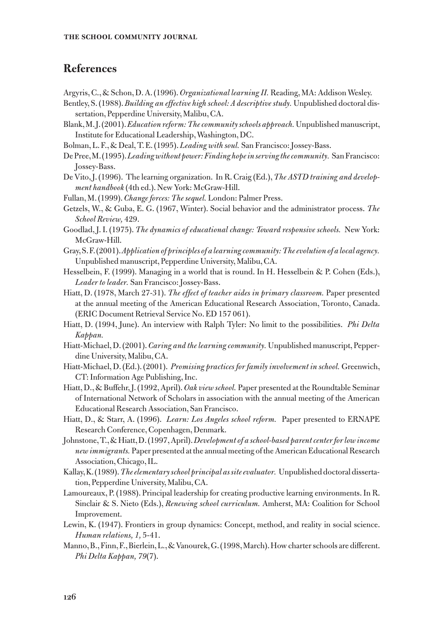# **References**

- Argyris, C., & Schon, D. A. (1996). *Organizational learning II.* Reading, MA: Addison Wesley.
- Bentley, S. (1988). *Building an effective high school: A descriptive study.* Unpublished doctoral dissertation, Pepperdine University, Malibu, CA.
- Blank, M. J. (2001). *Education reform: The community schools approach.* Unpublished manuscript, Institute for Educational Leadership, Washington, DC.
- Bolman, L. F., & Deal, T. E. (1995). *Leading with soul.* San Francisco: Jossey-Bass.
- De Pree, M. (1995). *Leading without power: Finding hope in serving the community.* San Francisco: Jossey-Bass.
- De Vito, J. (1996). The learning organization. In R. Craig (Ed.), *The ASTD training and development handbook* (4th ed.). New York: McGraw-Hill.
- Fullan, M. (1999). *Change forces: The sequel.* London: Palmer Press.
- Getzels, W., & Guba, E. G. (1967, Winter). Social behavior and the administrator process. *The School Review,* 429.
- Goodlad, J. I. (1975). *The dynamics of educational change: Toward responsive schools.* New York: McGraw-Hill.
- Gray, S. F. (2001). *Application of principles of a learning community: The evolution of a local agency.* Unpublished manuscript, Pepperdine University, Malibu, CA.
- Hesselbein, F. (1999). Managing in a world that is round. In H. Hesselbein & P. Cohen (Eds.), *Leader to leader.* San Francisco: Jossey-Bass.
- Hiatt, D. (1978, March 27-31). *The effect of teacher aides in primary classroom.* Paper presented at the annual meeting of the American Educational Research Association, Toronto, Canada. (ERIC Document Retrieval Service No. ED 157 061).
- Hiatt, D. (1994, June). An interview with Ralph Tyler: No limit to the possibilities. *Phi Delta Kappan.*
- Hiatt-Michael, D. (2001). *Caring and the learning community.* Unpublished manuscript, Pepperdine University, Malibu, CA.
- Hiatt-Michael, D. (Ed.). (2001). *Promising practices for family involvement in school.* Greenwich, CT: Information Age Publishing, Inc.
- Hiatt, D., & Buffehr, J. (1992, April). *Oak view school.* Paper presented at the Roundtable Seminar of International Network of Scholars in association with the annual meeting of the American Educational Research Association, San Francisco.
- Hiatt, D., & Starr, A. (1996). *Learn: Los Angeles school reform.* Paper presented to ERNAPE Research Conference, Copenhagen, Denmark.
- Johnstone, T., & Hiatt, D. (1997, April). *Development of a school-based parent center for low income new immigrants.* Paper presented at the annual meeting of the American Educational Research Association, Chicago, IL.
- Kallay, K. (1989). *The elementary school principal as site evaluator.* Unpublished doctoral dissertation, Pepperdine University, Malibu, CA.
- Lamoureaux, P. (1988). Principal leadership for creating productive learning environments. In R. Sinclair & S. Nieto (Eds.), *Renewing school curriculum.* Amherst, MA: Coalition for School Improvement.
- Lewin, K. (1947). Frontiers in group dynamics: Concept, method, and reality in social science. *Human relations, 1,* 5-41.
- Manno, B., Finn, F., Bierlein, L., & Vanourek, G. (1998, March). How charter schools are different. *Phi Delta Kappan, 79*(7).